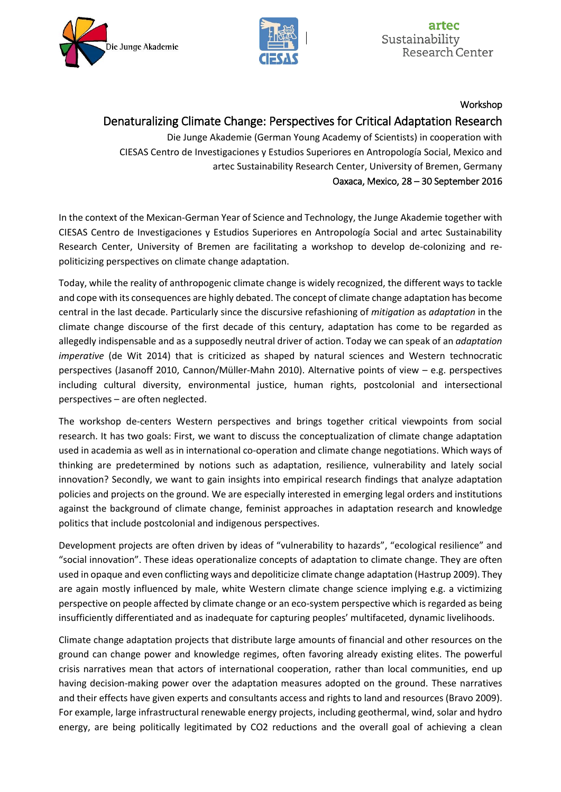



Workshop

# Denaturalizing Climate Change: Perspectives for Critical Adaptation Research

Die Junge Akademie (German Young Academy of Scientists) in cooperation with CIESAS Centro de Investigaciones y Estudios Superiores en Antropología Social, Mexico and artec Sustainability Research Center, University of Bremen, Germany Oaxaca, Mexico, 28 – 30 September 2016

In the context of the Mexican-German Year of Science and Technology, the Junge Akademie together with CIESAS Centro de Investigaciones y Estudios Superiores en Antropología Social and artec Sustainability Research Center, University of Bremen are facilitating a workshop to develop de-colonizing and repoliticizing perspectives on climate change adaptation.

Today, while the reality of anthropogenic climate change is widely recognized, the different ways to tackle and cope with its consequences are highly debated. The concept of climate change adaptation has become central in the last decade. Particularly since the discursive refashioning of *mitigation* as *adaptation* in the climate change discourse of the first decade of this century, adaptation has come to be regarded as allegedly indispensable and as a supposedly neutral driver of action. Today we can speak of an *adaptation imperative* (de Wit 2014) that is criticized as shaped by natural sciences and Western technocratic perspectives (Jasanoff 2010, Cannon/Müller-Mahn 2010). Alternative points of view – e.g. perspectives including cultural diversity, environmental justice, human rights, postcolonial and intersectional perspectives – are often neglected.

The workshop de-centers Western perspectives and brings together critical viewpoints from social research. It has two goals: First, we want to discuss the conceptualization of climate change adaptation used in academia as well as in international co-operation and climate change negotiations. Which ways of thinking are predetermined by notions such as adaptation, resilience, vulnerability and lately social innovation? Secondly, we want to gain insights into empirical research findings that analyze adaptation policies and projects on the ground. We are especially interested in emerging legal orders and institutions against the background of climate change, feminist approaches in adaptation research and knowledge politics that include postcolonial and indigenous perspectives.

Development projects are often driven by ideas of "vulnerability to hazards", "ecological resilience" and "social innovation". These ideas operationalize concepts of adaptation to climate change. They are often used in opaque and even conflicting ways and depoliticize climate change adaptation (Hastrup 2009). They are again mostly influenced by male, white Western climate change science implying e.g. a victimizing perspective on people affected by climate change or an eco-system perspective which is regarded as being insufficiently differentiated and as inadequate for capturing peoples' multifaceted, dynamic livelihoods.

Climate change adaptation projects that distribute large amounts of financial and other resources on the ground can change power and knowledge regimes, often favoring already existing elites. The powerful crisis narratives mean that actors of international cooperation, rather than local communities, end up having decision-making power over the adaptation measures adopted on the ground. These narratives and their effects have given experts and consultants access and rights to land and resources (Bravo 2009). For example, large infrastructural renewable energy projects, including geothermal, wind, solar and hydro energy, are being politically legitimated by CO2 reductions and the overall goal of achieving a clean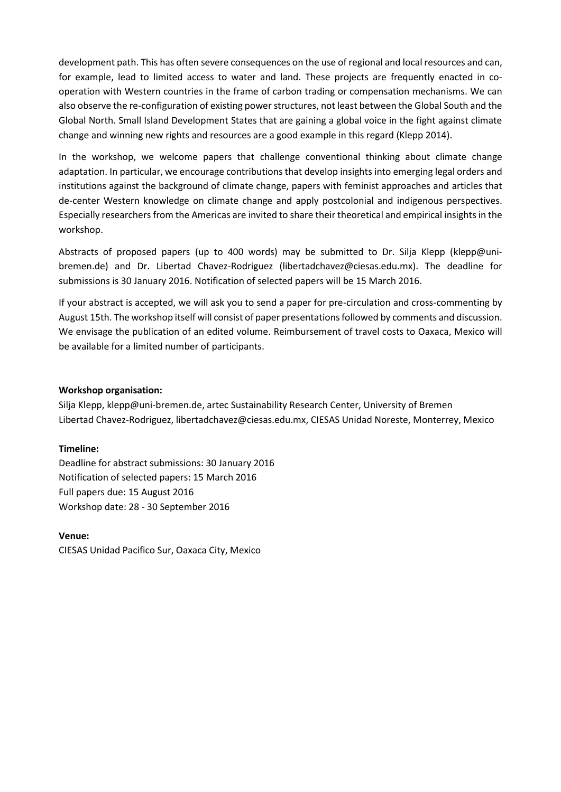development path. This has often severe consequences on the use of regional and local resources and can, for example, lead to limited access to water and land. These projects are frequently enacted in cooperation with Western countries in the frame of carbon trading or compensation mechanisms. We can also observe the re-configuration of existing power structures, not least between the Global South and the Global North. Small Island Development States that are gaining a global voice in the fight against climate change and winning new rights and resources are a good example in this regard (Klepp 2014).

In the workshop, we welcome papers that challenge conventional thinking about climate change adaptation. In particular, we encourage contributions that develop insights into emerging legal orders and institutions against the background of climate change, papers with feminist approaches and articles that de-center Western knowledge on climate change and apply postcolonial and indigenous perspectives. Especially researchers from the Americas are invited to share their theoretical and empirical insights in the workshop.

Abstracts of proposed papers (up to 400 words) may be submitted to Dr. Silja Klepp (klepp@unibremen.de) and Dr. Libertad Chavez-Rodriguez (libertadchavez@ciesas.edu.mx). The deadline for submissions is 30 January 2016. Notification of selected papers will be 15 March 2016.

If your abstract is accepted, we will ask you to send a paper for pre-circulation and cross-commenting by August 15th. The workshop itself will consist of paper presentations followed by comments and discussion. We envisage the publication of an edited volume. Reimbursement of travel costs to Oaxaca, Mexico will be available for a limited number of participants.

## **Workshop organisation:**

Silja Klepp, klepp@uni-bremen.de, artec Sustainability Research Center, University of Bremen Libertad Chavez-Rodriguez, libertadchavez@ciesas.edu.mx, CIESAS Unidad Noreste, Monterrey, Mexico

## **Timeline:**

Deadline for abstract submissions: 30 January 2016 Notification of selected papers: 15 March 2016 Full papers due: 15 August 2016 Workshop date: 28 - 30 September 2016

# **Venue:**

CIESAS Unidad Pacifico Sur, Oaxaca City, Mexico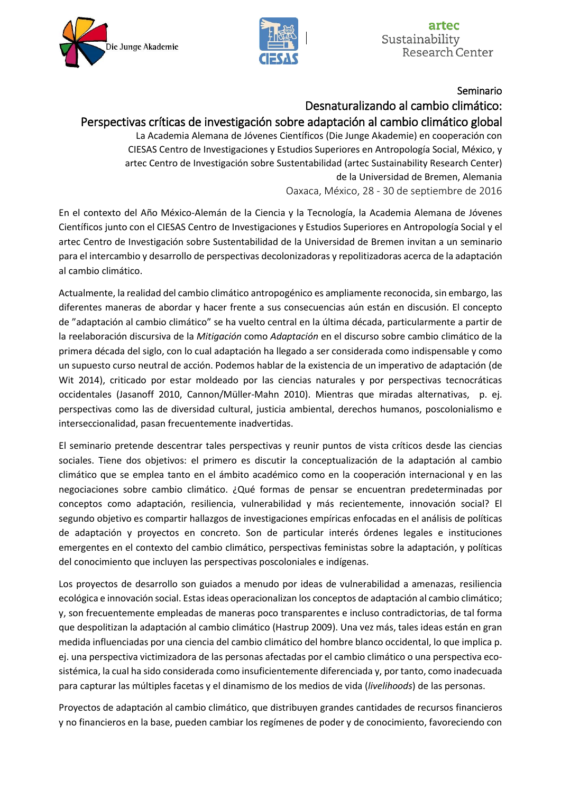



Seminario

# Desnaturalizando al cambio climático:

# Perspectivas críticas de investigación sobre adaptación al cambio climático global

La Academia Alemana de Jóvenes Científicos (Die Junge Akademie) en cooperación con CIESAS Centro de Investigaciones y Estudios Superiores en Antropología Social, México, y artec Centro de Investigación sobre Sustentabilidad (artec Sustainability Research Center) de la Universidad de Bremen, Alemania

Oaxaca, México, 28 - 30 de septiembre de 2016

En el contexto del Año México-Alemán de la Ciencia y la Tecnología, la Academia Alemana de Jóvenes Científicos junto con el CIESAS Centro de Investigaciones y Estudios Superiores en Antropología Social y el artec Centro de Investigación sobre Sustentabilidad de la Universidad de Bremen invitan a un seminario para el intercambio y desarrollo de perspectivas decolonizadoras y repolitizadoras acerca de la adaptación al cambio climático.

Actualmente, la realidad del cambio climático antropogénico es ampliamente reconocida, sin embargo, las diferentes maneras de abordar y hacer frente a sus consecuencias aún están en discusión. El concepto de "adaptación al cambio climático" se ha vuelto central en la última década, particularmente a partir de la reelaboración discursiva de la *Mitigación* como *Adaptación* en el discurso sobre cambio climático de la primera década del siglo, con lo cual adaptación ha llegado a ser considerada como indispensable y como un supuesto curso neutral de acción. Podemos hablar de la existencia de un imperativo de adaptación (de Wit 2014), criticado por estar moldeado por las ciencias naturales y por perspectivas tecnocráticas occidentales (Jasanoff 2010, Cannon/Müller-Mahn 2010). Mientras que miradas alternativas, p. ej. perspectivas como las de diversidad cultural, justicia ambiental, derechos humanos, poscolonialismo e interseccionalidad, pasan frecuentemente inadvertidas.

El seminario pretende descentrar tales perspectivas y reunir puntos de vista críticos desde las ciencias sociales. Tiene dos objetivos: el primero es discutir la conceptualización de la adaptación al cambio climático que se emplea tanto en el ámbito académico como en la cooperación internacional y en las negociaciones sobre cambio climático. ¿Qué formas de pensar se encuentran predeterminadas por conceptos como adaptación, resiliencia, vulnerabilidad y más recientemente, innovación social? El segundo objetivo es compartir hallazgos de investigaciones empíricas enfocadas en el análisis de políticas de adaptación y proyectos en concreto. Son de particular interés órdenes legales e instituciones emergentes en el contexto del cambio climático, perspectivas feministas sobre la adaptación, y políticas del conocimiento que incluyen las perspectivas poscoloniales e indígenas.

Los proyectos de desarrollo son guiados a menudo por ideas de vulnerabilidad a amenazas, resiliencia ecológica e innovación social. Estas ideas operacionalizan los conceptos de adaptación al cambio climático; y, son frecuentemente empleadas de maneras poco transparentes e incluso contradictorias, de tal forma que despolitizan la adaptación al cambio climático (Hastrup 2009). Una vez más, tales ideas están en gran medida influenciadas por una ciencia del cambio climático del hombre blanco occidental, lo que implica p. ej. una perspectiva victimizadora de las personas afectadas por el cambio climático o una perspectiva ecosistémica, la cual ha sido considerada como insuficientemente diferenciada y, por tanto, como inadecuada para capturar las múltiples facetas y el dinamismo de los medios de vida (*livelihoods*) de las personas.

Proyectos de adaptación al cambio climático, que distribuyen grandes cantidades de recursos financieros y no financieros en la base, pueden cambiar los regímenes de poder y de conocimiento, favoreciendo con